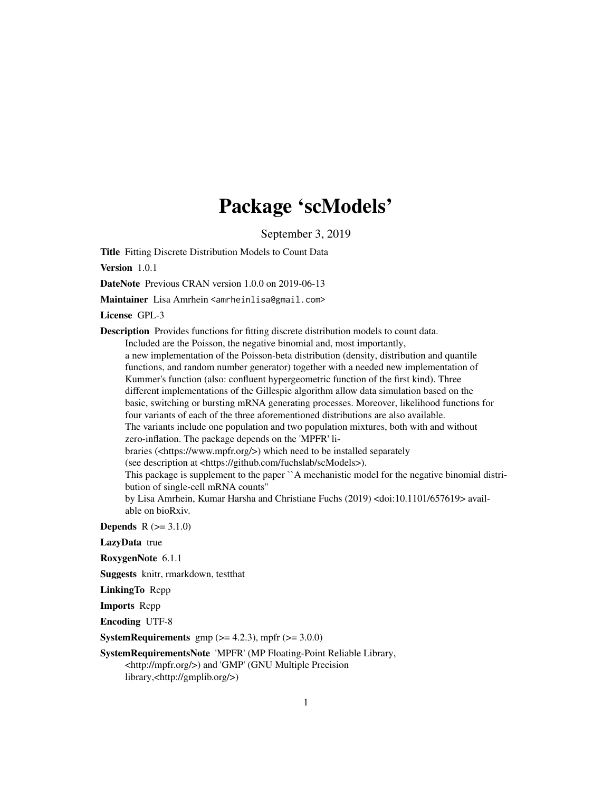## Package 'scModels'

September 3, 2019

Title Fitting Discrete Distribution Models to Count Data

Version 1.0.1

DateNote Previous CRAN version 1.0.0 on 2019-06-13

Maintainer Lisa Amrhein <amrheinlisa@gmail.com>

License GPL-3

Description Provides functions for fitting discrete distribution models to count data.

Included are the Poisson, the negative binomial and, most importantly, a new implementation of the Poisson-beta distribution (density, distribution and quantile functions, and random number generator) together with a needed new implementation of Kummer's function (also: confluent hypergeometric function of the first kind). Three different implementations of the Gillespie algorithm allow data simulation based on the basic, switching or bursting mRNA generating processes. Moreover, likelihood functions for four variants of each of the three aforementioned distributions are also available. The variants include one population and two population mixtures, both with and without zero-inflation. The package depends on the 'MPFR' libraries (<https://www.mpfr.org/>) which need to be installed separately (see description at <https://github.com/fuchslab/scModels>). This package is supplement to the paper ``A mechanistic model for the negative binomial distribution of single-cell mRNA counts''

by Lisa Amrhein, Kumar Harsha and Christiane Fuchs (2019) <doi:10.1101/657619> available on bioRxiv.

**Depends**  $R (= 3.1.0)$ 

LazyData true

RoxygenNote 6.1.1

Suggests knitr, rmarkdown, testthat

LinkingTo Rcpp

Imports Rcpp

Encoding UTF-8

**SystemRequirements** gmp  $(>= 4.2.3)$ , mpfr  $(>= 3.0.0)$ 

#### SystemRequirementsNote 'MPFR' (MP Floating-Point Reliable Library, <http://mpfr.org/>) and 'GMP' (GNU Multiple Precision library,<http://gmplib.org/>)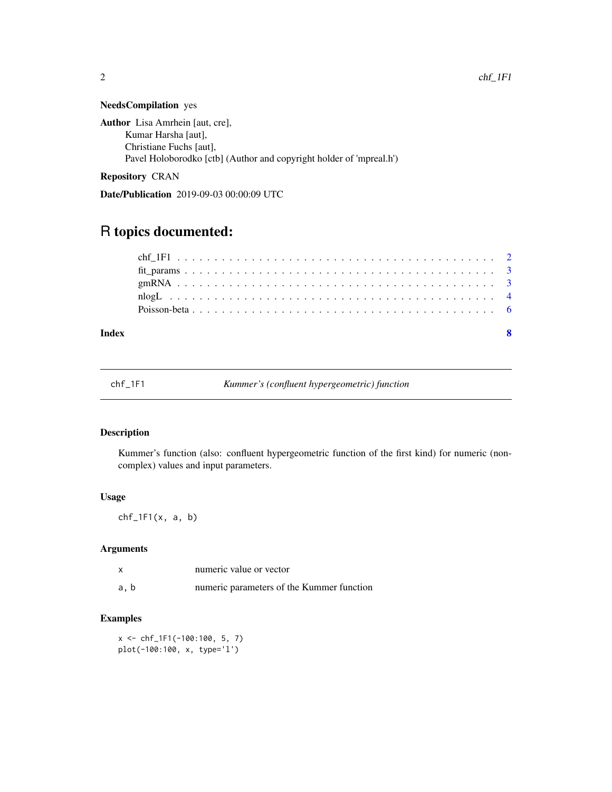#### NeedsCompilation yes

Author Lisa Amrhein [aut, cre], Kumar Harsha [aut], Christiane Fuchs [aut], Pavel Holoborodko [ctb] (Author and copyright holder of 'mpreal.h')

Repository CRAN

Date/Publication 2019-09-03 00:00:09 UTC

### R topics documented:

#### **Index** [8](#page-7-0) **8**

| chf 1F1 | Kummer's (confluent hypergeometric) function |  |
|---------|----------------------------------------------|--|
|         |                                              |  |

#### Description

Kummer's function (also: confluent hypergeometric function of the first kind) for numeric (noncomplex) values and input parameters.

#### Usage

 $chf_1F1(x, a, b)$ 

#### Arguments

|      | numeric value or vector                   |
|------|-------------------------------------------|
| a, b | numeric parameters of the Kummer function |

#### Examples

x <- chf\_1F1(-100:100, 5, 7) plot(-100:100, x, type='l')

<span id="page-1-0"></span>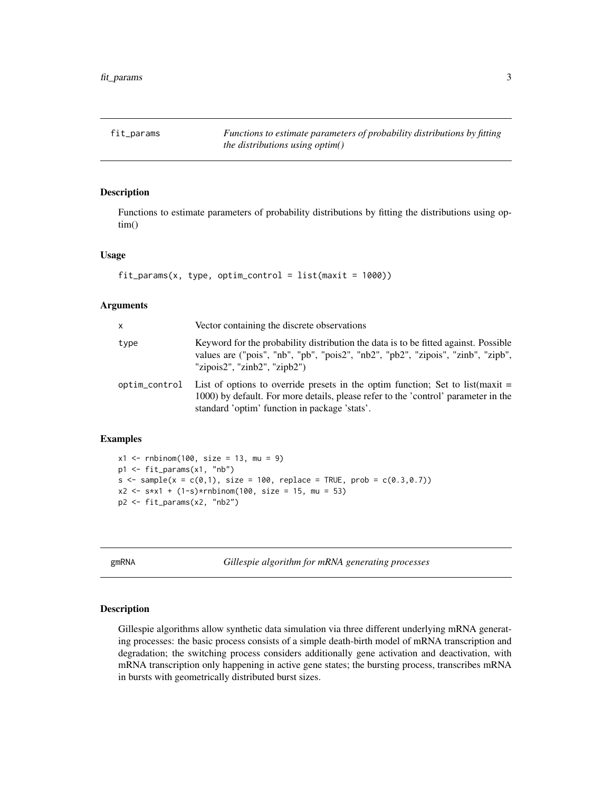<span id="page-2-0"></span>fit\_params *Functions to estimate parameters of probability distributions by fitting the distributions using optim()*

#### Description

Functions to estimate parameters of probability distributions by fitting the distributions using optim()

#### Usage

```
fit\_params(x, type, optimum\_control = list(maxit = 1000))
```
#### Arguments

| $\mathsf{x}$  | Vector containing the discrete observations                                                                                                                                                                             |
|---------------|-------------------------------------------------------------------------------------------------------------------------------------------------------------------------------------------------------------------------|
| type          | Keyword for the probability distribution the data is to be fitted against. Possible<br>values are ("pois", "nb", "pois", "pois2", "nb2", "pb2", "zipois", "zinb", "zipb",<br>"zipois $2$ ", "zinb $2$ ", "zipb $2$ ")   |
| optim_control | List of options to override presets in the optim function; Set to list $(max)$ =<br>1000) by default. For more details, please refer to the 'control' parameter in the<br>standard 'optim' function in package 'stats'. |

#### Examples

```
x1 <- rnbinom(100, size = 13, mu = 9)
p1 <- fit_params(x1, "nb")
s \leq sample(x = c(0,1), size = 100, replace = TRUE, prob = c(0.3,0.7))
x2 \le - s*x1 + (1-s)*rnbinom(100, size = 15, mu = 53)
p2 <- fit_params(x2, "nb2")
```
gmRNA *Gillespie algorithm for mRNA generating processes*

#### Description

Gillespie algorithms allow synthetic data simulation via three different underlying mRNA generating processes: the basic process consists of a simple death-birth model of mRNA transcription and degradation; the switching process considers additionally gene activation and deactivation, with mRNA transcription only happening in active gene states; the bursting process, transcribes mRNA in bursts with geometrically distributed burst sizes.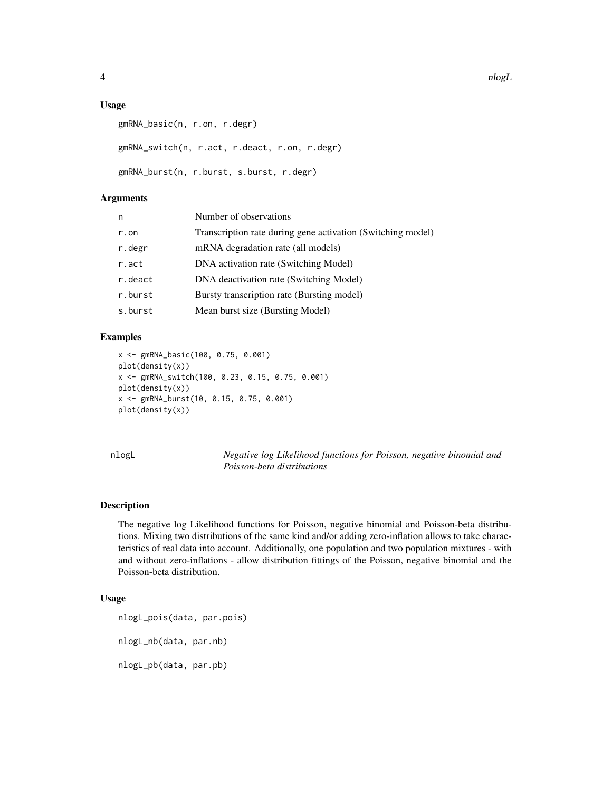#### Usage

```
gmRNA_basic(n, r.on, r.degr)
gmRNA_switch(n, r.act, r.deact, r.on, r.degr)
gmRNA_burst(n, r.burst, s.burst, r.degr)
```
#### Arguments

| n       | Number of observations                                      |
|---------|-------------------------------------------------------------|
| r.on    | Transcription rate during gene activation (Switching model) |
| r.degr  | mRNA degradation rate (all models)                          |
| r.act   | DNA activation rate (Switching Model)                       |
| r.deact | DNA deactivation rate (Switching Model)                     |
| r.burst | Bursty transcription rate (Bursting model)                  |
| s.burst | Mean burst size (Bursting Model)                            |
|         |                                                             |

#### Examples

```
x <- gmRNA_basic(100, 0.75, 0.001)
plot(density(x))
x <- gmRNA_switch(100, 0.23, 0.15, 0.75, 0.001)
plot(density(x))
x <- gmRNA_burst(10, 0.15, 0.75, 0.001)
plot(density(x))
```
nlogL *Negative log Likelihood functions for Poisson, negative binomial and Poisson-beta distributions*

#### Description

The negative log Likelihood functions for Poisson, negative binomial and Poisson-beta distributions. Mixing two distributions of the same kind and/or adding zero-inflation allows to take characteristics of real data into account. Additionally, one population and two population mixtures - with and without zero-inflations - allow distribution fittings of the Poisson, negative binomial and the Poisson-beta distribution.

#### Usage

```
nlogL_pois(data, par.pois)
nlogL_nb(data, par.nb)
nlogL_pb(data, par.pb)
```
<span id="page-3-0"></span>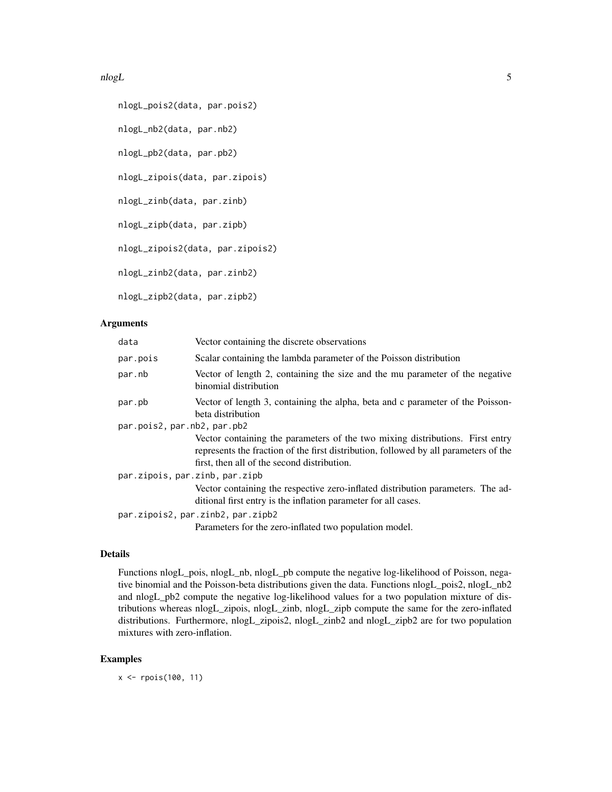#### nlogL 5

```
nlogL_pois2(data, par.pois2)
nlogL_nb2(data, par.nb2)
nlogL_pb2(data, par.pb2)
nlogL_zipois(data, par.zipois)
nlogL_zinb(data, par.zinb)
nlogL_zipb(data, par.zipb)
nlogL_zipois2(data, par.zipois2)
nlogL_zinb2(data, par.zinb2)
nlogL_zipb2(data, par.zipb2)
```
#### Arguments

| data                           | Vector containing the discrete observations                                                                                                                                                                          |
|--------------------------------|----------------------------------------------------------------------------------------------------------------------------------------------------------------------------------------------------------------------|
| par.pois                       | Scalar containing the lambda parameter of the Poisson distribution                                                                                                                                                   |
| par.nb                         | Vector of length 2, containing the size and the mu parameter of the negative<br>binomial distribution                                                                                                                |
| par.pb                         | Vector of length 3, containing the alpha, beta and c parameter of the Poisson-<br>beta distribution                                                                                                                  |
| par.pois2, par.nb2, par.pb2    |                                                                                                                                                                                                                      |
|                                | Vector containing the parameters of the two mixing distributions. First entry<br>represents the fraction of the first distribution, followed by all parameters of the<br>first, then all of the second distribution. |
| par.zipois, par.zinb, par.zipb |                                                                                                                                                                                                                      |
|                                | Vector containing the respective zero-inflated distribution parameters. The ad-<br>ditional first entry is the inflation parameter for all cases.                                                                    |
|                                | par.zipois2, par.zinb2, par.zipb2                                                                                                                                                                                    |
|                                | Parameters for the zero-inflated two population model.                                                                                                                                                               |

#### Details

Functions nlogL\_pois, nlogL\_nb, nlogL\_pb compute the negative log-likelihood of Poisson, negative binomial and the Poisson-beta distributions given the data. Functions nlogL\_pois2, nlogL\_nb2 and nlogL\_pb2 compute the negative log-likelihood values for a two population mixture of distributions whereas nlogL\_zipois, nlogL\_zinb, nlogL\_zipb compute the same for the zero-inflated distributions. Furthermore, nlogL\_zipois2, nlogL\_zinb2 and nlogL\_zipb2 are for two population mixtures with zero-inflation.

#### Examples

x <- rpois(100, 11)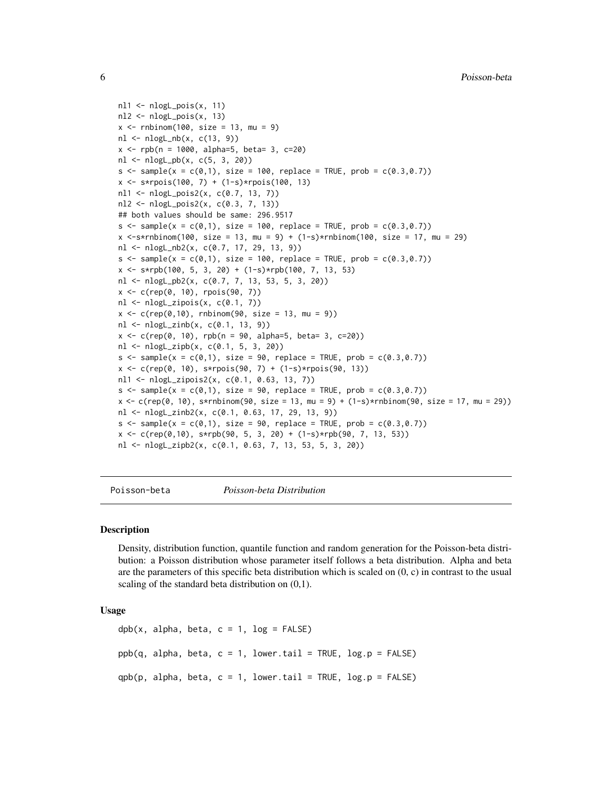```
nl1 <- nlogL_pois(x, 11)
nl2 <- nlogL_pois(x, 13)
x < - rnbinom(100, size = 13, mu = 9)
nl \leftarrow nlogL_n(b(x, c(13, 9)))x \le - rpb(n = 1000, alpha=5, beta= 3, c=20)
nl <- nlogL_pb(x, c(5, 3, 20))
s \leq - sample(x = c(0,1), size = 100, replace = TRUE, prob = c(0.3,0.7))
x <- s*rpois(100, 7) + (1-s)*rpois(100, 13)
nl1 <- nlogL_pois2(x, c(0.7, 13, 7))
nl2 <- nlogL_pois2(x, c(0.3, 7, 13))
## both values should be same: 296.9517
s \leq sample(x = c(0,1), size = 100, replace = TRUE, prob = c(0.3,0.7))
x < -s*rnbinom(100, size = 13, mu = 9) + (1-s)*rnbinom(100, size = 17, mu = 29)
nl <- nlogL_nb2(x, c(0.7, 17, 29, 13, 9))
s \leq - sample(x = c(0,1), size = 100, replace = TRUE, prob = c(0.3,0.7))
x \leq -s*rpb(100, 5, 3, 20) + (1-s)*rpb(100, 7, 13, 53)
nl <- nlogL_pb2(x, c(0.7, 7, 13, 53, 5, 3, 20))
x <- c(rep(0, 10), rpois(90, 7))
nl <- nlogL_zipois(x, c(0.1, 7))
x < -c (rep(0,10), rnbinom(90, size = 13, mu = 9))
nl <- nlogL_zinb(x, c(0.1, 13, 9))
x \leq c(rep(0, 10), rpb(n = 90, alpha=5, beta= 3, c=20))
nl <- nlogL_zipb(x, c(0.1, 5, 3, 20))
s \leq - sample(x = c(0,1), size = 90, replace = TRUE, prob = c(0.3,0.7))
x <- c(rep(0, 10), s*rpois(90, 7) + (1-s)*rpois(90, 13))
nl1 <- nlogL_zipois2(x, c(0.1, 0.63, 13, 7))
s \leq - sample(x = c(0,1), size = 90, replace = TRUE, prob = c(0.3,0.7))
x < -c (rep(0, 10), s*rnbinom(90, size = 13, mu = 9) + (1-s)*rnbinom(90, size = 17, mu = 29))
nl <- nlogL_zinb2(x, c(0.1, 0.63, 17, 29, 13, 9))
s \leq sample(x = c(0,1), size = 90, replace = TRUE, prob = c(0.3,0.7))
x <- c(rep(0,10), s*rpb(90, 5, 3, 20) + (1-s)*rpb(90, 7, 13, 53))
nl <- nlogL_zipb2(x, c(0.1, 0.63, 7, 13, 53, 5, 3, 20))
```
Poisson-beta *Poisson-beta Distribution*

#### Description

Density, distribution function, quantile function and random generation for the Poisson-beta distribution: a Poisson distribution whose parameter itself follows a beta distribution. Alpha and beta are the parameters of this specific beta distribution which is scaled on  $(0, c)$  in contrast to the usual scaling of the standard beta distribution on (0,1).

#### Usage

```
dpb(x, alpha, beta, c = 1, log = FALSE)ppb(q, alpha, beta, c = 1, lower.tail = TRUE, log.p = FALSE)qpb(p, alpha, beta, c = 1, lowertail = TRUE, <math>log.p = FALSE)
```
<span id="page-5-0"></span>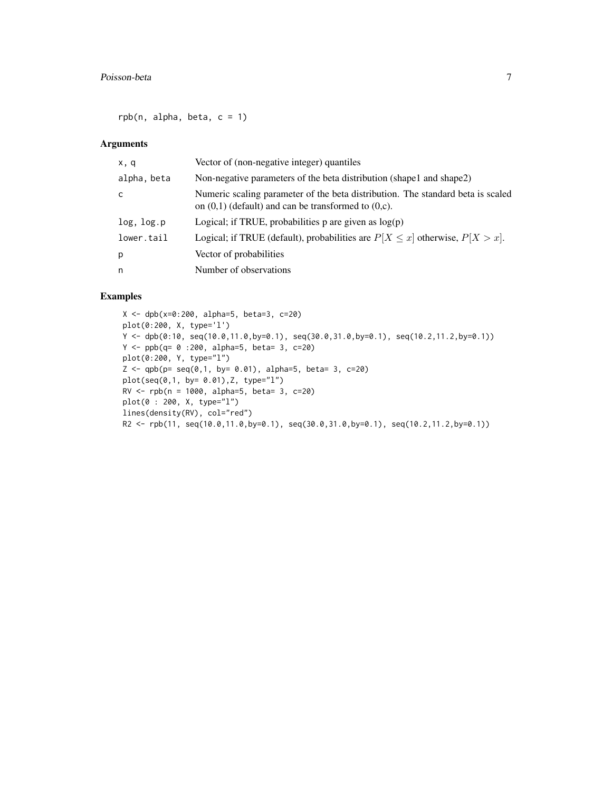$rpb(n, alpha, beta, c = 1)$ 

#### Arguments

| x, q        | Vector of (non-negative integer) quantiles                                                                                                  |
|-------------|---------------------------------------------------------------------------------------------------------------------------------------------|
| alpha, beta | Non-negative parameters of the beta distribution (shape1 and shape2)                                                                        |
| C           | Numeric scaling parameter of the beta distribution. The standard beta is scaled<br>on $(0,1)$ (default) and can be transformed to $(0,c)$ . |
| log, log.p  | Logical; if TRUE, probabilities $p$ are given as $log(p)$                                                                                   |
| lower.tail  | Logical; if TRUE (default), probabilities are $P[X \le x]$ otherwise, $P[X > x]$ .                                                          |
| p           | Vector of probabilities                                                                                                                     |
| n           | Number of observations                                                                                                                      |

#### Examples

```
X <- dpb(x=0:200, alpha=5, beta=3, c=20)
plot(0:200, X, type='l')
Y <- dpb(0:10, seq(10.0,11.0,by=0.1), seq(30.0,31.0,by=0.1), seq(10.2,11.2,by=0.1))
Y <- ppb(q= 0 :200, alpha=5, beta= 3, c=20)
plot(0:200, Y, type="l")
Z \leq - qpb(p= seq(0,1, by= 0.01), alpha=5, beta= 3, c=20)
plot(seq(0,1, by= 0.01),Z, type="l")
RV <- rpb(n = 1000, alpha=5, beta= 3, c=20)
plot(0 : 200, X, type="l")
lines(density(RV), col="red")
R2 <- rpb(11, seq(10.0,11.0,by=0.1), seq(30.0,31.0,by=0.1), seq(10.2,11.2,by=0.1))
```